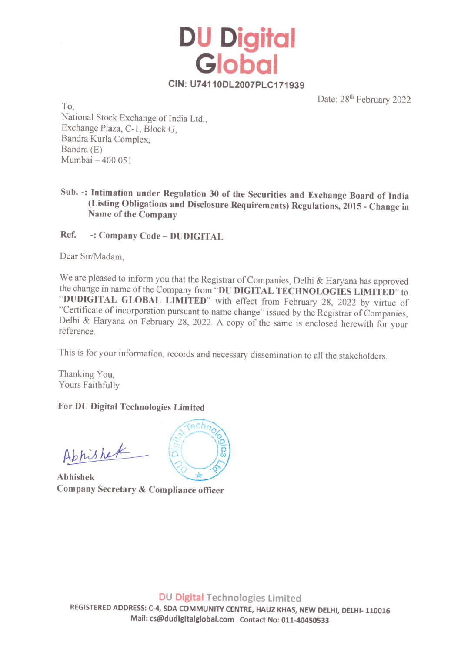CIN: U74110DL2007PLC171939

**Global** 

DU Digital

Date:  $28<sup>th</sup>$  February 2022

National Stock Exchange of India Ltd., Exchange Plaza, C-1, Block G, Bandra Kurla Complex, Bandra (E) Mumbai — 400 051

Sub. -: Intimation under Regulation 30 of the Securities and Exchange Board of India (Listing Obligations and Disclosure Requirements) Regulations, 2015 - Change in Name of the Company

Ref. -: Company Code - DUDIGITAL

Dear Sir/Madam,

We are pleased to inform you that the Registrar of Companies, Delhi & Haryana has approved<br>the change in name of the Company from "DU DIGITAL TECHNOLOGIES LIMITED" to<br>"DUDIGITAL GLOBAL LIMITED" with effect from February 2

This is for your information, records and necessary dissemination to all the stakeholders.

Thanking You, Yours Faithfully

## For DU Digital Technologies Limited

Appishek

Abhishek Company Secretary & Compliance officer